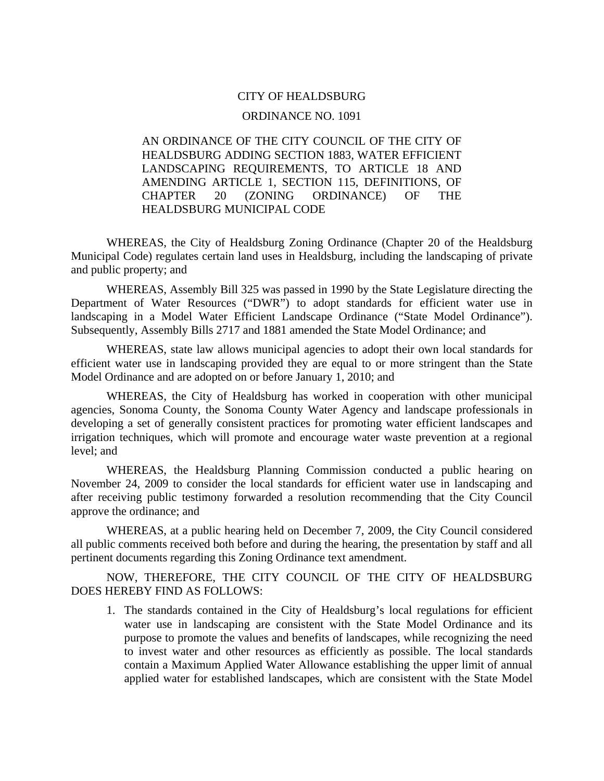## CITY OF HEALDSBURG

## ORDINANCE NO. 1091

## AN ORDINANCE OF THE CITY COUNCIL OF THE CITY OF HEALDSBURG ADDING SECTION 1883, WATER EFFICIENT LANDSCAPING REQUIREMENTS, TO ARTICLE 18 AND AMENDING ARTICLE 1, SECTION 115, DEFINITIONS, OF CHAPTER 20 (ZONING ORDINANCE) OF THE HEALDSBURG MUNICIPAL CODE

WHEREAS, the City of Healdsburg Zoning Ordinance (Chapter 20 of the Healdsburg Municipal Code) regulates certain land uses in Healdsburg, including the landscaping of private and public property; and

WHEREAS, Assembly Bill 325 was passed in 1990 by the State Legislature directing the Department of Water Resources ("DWR") to adopt standards for efficient water use in landscaping in a Model Water Efficient Landscape Ordinance ("State Model Ordinance"). Subsequently, Assembly Bills 2717 and 1881 amended the State Model Ordinance; and

WHEREAS, state law allows municipal agencies to adopt their own local standards for efficient water use in landscaping provided they are equal to or more stringent than the State Model Ordinance and are adopted on or before January 1, 2010; and

WHEREAS, the City of Healdsburg has worked in cooperation with other municipal agencies, Sonoma County, the Sonoma County Water Agency and landscape professionals in developing a set of generally consistent practices for promoting water efficient landscapes and irrigation techniques, which will promote and encourage water waste prevention at a regional level; and

WHEREAS, the Healdsburg Planning Commission conducted a public hearing on November 24, 2009 to consider the local standards for efficient water use in landscaping and after receiving public testimony forwarded a resolution recommending that the City Council approve the ordinance; and

WHEREAS, at a public hearing held on December 7, 2009, the City Council considered all public comments received both before and during the hearing, the presentation by staff and all pertinent documents regarding this Zoning Ordinance text amendment.

NOW, THEREFORE, THE CITY COUNCIL OF THE CITY OF HEALDSBURG DOES HEREBY FIND AS FOLLOWS:

1. The standards contained in the City of Healdsburg's local regulations for efficient water use in landscaping are consistent with the State Model Ordinance and its purpose to promote the values and benefits of landscapes, while recognizing the need to invest water and other resources as efficiently as possible. The local standards contain a Maximum Applied Water Allowance establishing the upper limit of annual applied water for established landscapes, which are consistent with the State Model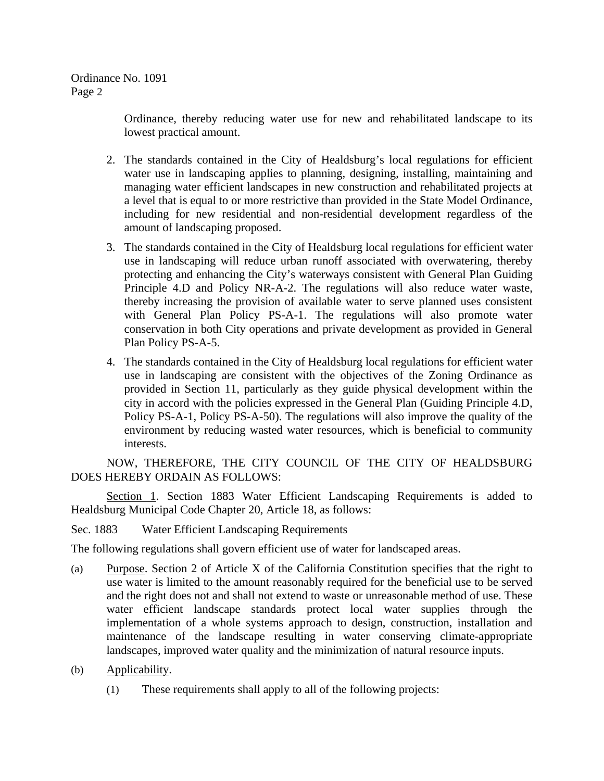> Ordinance, thereby reducing water use for new and rehabilitated landscape to its lowest practical amount.

- 2. The standards contained in the City of Healdsburg's local regulations for efficient water use in landscaping applies to planning, designing, installing, maintaining and managing water efficient landscapes in new construction and rehabilitated projects at a level that is equal to or more restrictive than provided in the State Model Ordinance, including for new residential and non-residential development regardless of the amount of landscaping proposed.
- 3. The standards contained in the City of Healdsburg local regulations for efficient water use in landscaping will reduce urban runoff associated with overwatering, thereby protecting and enhancing the City's waterways consistent with General Plan Guiding Principle 4.D and Policy NR-A-2. The regulations will also reduce water waste, thereby increasing the provision of available water to serve planned uses consistent with General Plan Policy PS-A-1. The regulations will also promote water conservation in both City operations and private development as provided in General Plan Policy PS-A-5.
- 4. The standards contained in the City of Healdsburg local regulations for efficient water use in landscaping are consistent with the objectives of the Zoning Ordinance as provided in Section 11, particularly as they guide physical development within the city in accord with the policies expressed in the General Plan (Guiding Principle 4.D, Policy PS-A-1, Policy PS-A-50). The regulations will also improve the quality of the environment by reducing wasted water resources, which is beneficial to community interests.

NOW, THEREFORE, THE CITY COUNCIL OF THE CITY OF HEALDSBURG DOES HEREBY ORDAIN AS FOLLOWS:

Section 1. Section 1883 Water Efficient Landscaping Requirements is added to Healdsburg Municipal Code Chapter 20, Article 18, as follows:

Sec. 1883 Water Efficient Landscaping Requirements

The following regulations shall govern efficient use of water for landscaped areas.

- (a) Purpose. Section 2 of Article X of the California Constitution specifies that the right to use water is limited to the amount reasonably required for the beneficial use to be served and the right does not and shall not extend to waste or unreasonable method of use. These water efficient landscape standards protect local water supplies through the implementation of a whole systems approach to design, construction, installation and maintenance of the landscape resulting in water conserving climate-appropriate landscapes, improved water quality and the minimization of natural resource inputs.
- (b) Applicability.
	- (1) These requirements shall apply to all of the following projects: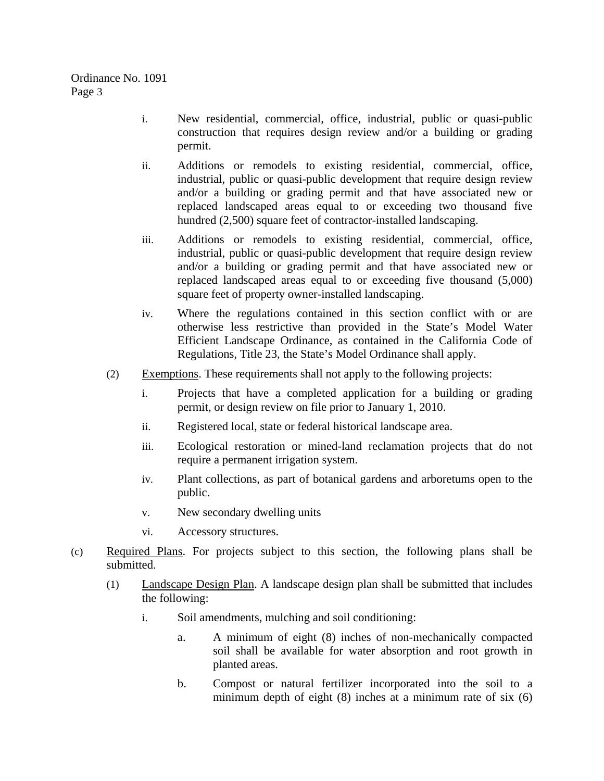- i. New residential, commercial, office, industrial, public or quasi-public construction that requires design review and/or a building or grading permit.
- ii. Additions or remodels to existing residential, commercial, office, industrial, public or quasi-public development that require design review and/or a building or grading permit and that have associated new or replaced landscaped areas equal to or exceeding two thousand five hundred (2,500) square feet of contractor-installed landscaping.
- iii. Additions or remodels to existing residential, commercial, office, industrial, public or quasi-public development that require design review and/or a building or grading permit and that have associated new or replaced landscaped areas equal to or exceeding five thousand (5,000) square feet of property owner-installed landscaping.
- iv. Where the regulations contained in this section conflict with or are otherwise less restrictive than provided in the State's Model Water Efficient Landscape Ordinance, as contained in the California Code of Regulations, Title 23, the State's Model Ordinance shall apply.
- (2) Exemptions. These requirements shall not apply to the following projects:
	- i. Projects that have a completed application for a building or grading permit, or design review on file prior to January 1, 2010.
	- ii. Registered local, state or federal historical landscape area.
	- iii. Ecological restoration or mined-land reclamation projects that do not require a permanent irrigation system.
	- iv. Plant collections, as part of botanical gardens and arboretums open to the public.
	- v. New secondary dwelling units
	- vi. Accessory structures.
- (c) Required Plans. For projects subject to this section, the following plans shall be submitted.
	- (1) Landscape Design Plan. A landscape design plan shall be submitted that includes the following:
		- i. Soil amendments, mulching and soil conditioning:
			- a. A minimum of eight (8) inches of non-mechanically compacted soil shall be available for water absorption and root growth in planted areas.
			- b. Compost or natural fertilizer incorporated into the soil to a minimum depth of eight (8) inches at a minimum rate of six (6)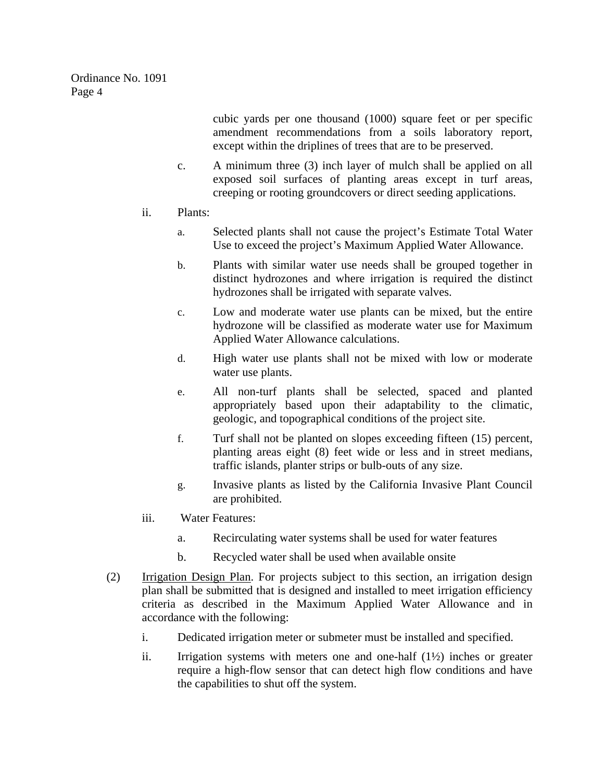> cubic yards per one thousand (1000) square feet or per specific amendment recommendations from a soils laboratory report, except within the driplines of trees that are to be preserved.

- c. A minimum three (3) inch layer of mulch shall be applied on all exposed soil surfaces of planting areas except in turf areas, creeping or rooting groundcovers or direct seeding applications.
- ii. Plants:
	- a. Selected plants shall not cause the project's Estimate Total Water Use to exceed the project's Maximum Applied Water Allowance.
	- b. Plants with similar water use needs shall be grouped together in distinct hydrozones and where irrigation is required the distinct hydrozones shall be irrigated with separate valves.
	- c. Low and moderate water use plants can be mixed, but the entire hydrozone will be classified as moderate water use for Maximum Applied Water Allowance calculations.
	- d. High water use plants shall not be mixed with low or moderate water use plants.
	- e. All non-turf plants shall be selected, spaced and planted appropriately based upon their adaptability to the climatic, geologic, and topographical conditions of the project site.
	- f. Turf shall not be planted on slopes exceeding fifteen (15) percent, planting areas eight (8) feet wide or less and in street medians, traffic islands, planter strips or bulb-outs of any size.
	- g. Invasive plants as listed by the California Invasive Plant Council are prohibited.
- iii. Water Features:
	- a. Recirculating water systems shall be used for water features
	- b. Recycled water shall be used when available onsite
- (2) Irrigation Design Plan. For projects subject to this section, an irrigation design plan shall be submitted that is designed and installed to meet irrigation efficiency criteria as described in the Maximum Applied Water Allowance and in accordance with the following:
	- i. Dedicated irrigation meter or submeter must be installed and specified.
	- ii. Irrigation systems with meters one and one-half  $(1\frac{1}{2})$  inches or greater require a high-flow sensor that can detect high flow conditions and have the capabilities to shut off the system.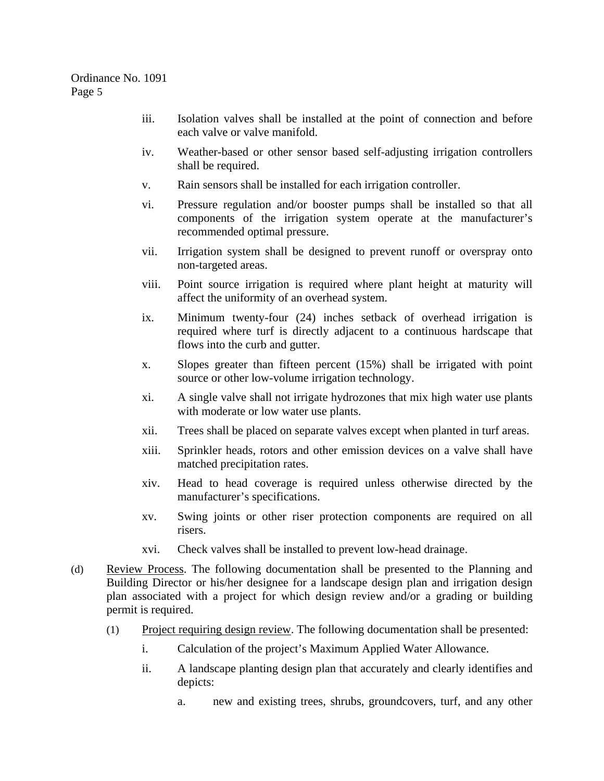- iii. Isolation valves shall be installed at the point of connection and before each valve or valve manifold.
- iv. Weather-based or other sensor based self-adjusting irrigation controllers shall be required.
- v. Rain sensors shall be installed for each irrigation controller.
- vi. Pressure regulation and/or booster pumps shall be installed so that all components of the irrigation system operate at the manufacturer's recommended optimal pressure.
- vii. Irrigation system shall be designed to prevent runoff or overspray onto non-targeted areas.
- viii. Point source irrigation is required where plant height at maturity will affect the uniformity of an overhead system.
- ix. Minimum twenty-four (24) inches setback of overhead irrigation is required where turf is directly adjacent to a continuous hardscape that flows into the curb and gutter.
- x. Slopes greater than fifteen percent (15%) shall be irrigated with point source or other low-volume irrigation technology.
- xi. A single valve shall not irrigate hydrozones that mix high water use plants with moderate or low water use plants.
- xii. Trees shall be placed on separate valves except when planted in turf areas.
- xiii. Sprinkler heads, rotors and other emission devices on a valve shall have matched precipitation rates.
- xiv. Head to head coverage is required unless otherwise directed by the manufacturer's specifications.
- xv. Swing joints or other riser protection components are required on all risers.
- xvi. Check valves shall be installed to prevent low-head drainage.
- (d) Review Process. The following documentation shall be presented to the Planning and Building Director or his/her designee for a landscape design plan and irrigation design plan associated with a project for which design review and/or a grading or building permit is required.
	- (1) Project requiring design review. The following documentation shall be presented:
		- i. Calculation of the project's Maximum Applied Water Allowance.
		- ii. A landscape planting design plan that accurately and clearly identifies and depicts:
			- a. new and existing trees, shrubs, groundcovers, turf, and any other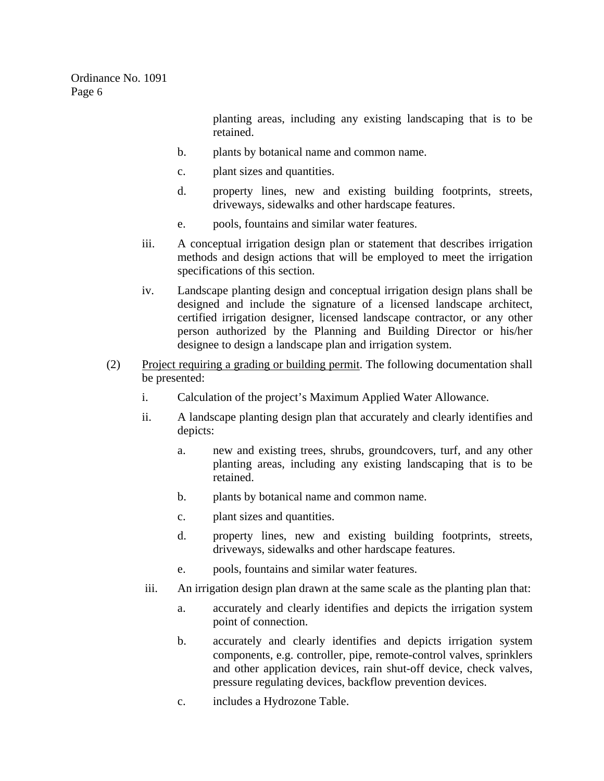planting areas, including any existing landscaping that is to be retained.

- b. plants by botanical name and common name.
- c. plant sizes and quantities.
- d. property lines, new and existing building footprints, streets, driveways, sidewalks and other hardscape features.
- e. pools, fountains and similar water features.
- iii. A conceptual irrigation design plan or statement that describes irrigation methods and design actions that will be employed to meet the irrigation specifications of this section.
- iv. Landscape planting design and conceptual irrigation design plans shall be designed and include the signature of a licensed landscape architect, certified irrigation designer, licensed landscape contractor, or any other person authorized by the Planning and Building Director or his/her designee to design a landscape plan and irrigation system.
- (2) Project requiring a grading or building permit. The following documentation shall be presented:
	- i. Calculation of the project's Maximum Applied Water Allowance.
	- ii. A landscape planting design plan that accurately and clearly identifies and depicts:
		- a. new and existing trees, shrubs, groundcovers, turf, and any other planting areas, including any existing landscaping that is to be retained.
		- b. plants by botanical name and common name.
		- c. plant sizes and quantities.
		- d. property lines, new and existing building footprints, streets, driveways, sidewalks and other hardscape features.
		- e. pools, fountains and similar water features.
	- iii. An irrigation design plan drawn at the same scale as the planting plan that:
		- a. accurately and clearly identifies and depicts the irrigation system point of connection.
		- b. accurately and clearly identifies and depicts irrigation system components, e.g. controller, pipe, remote-control valves, sprinklers and other application devices, rain shut-off device, check valves, pressure regulating devices, backflow prevention devices.
		- c. includes a Hydrozone Table.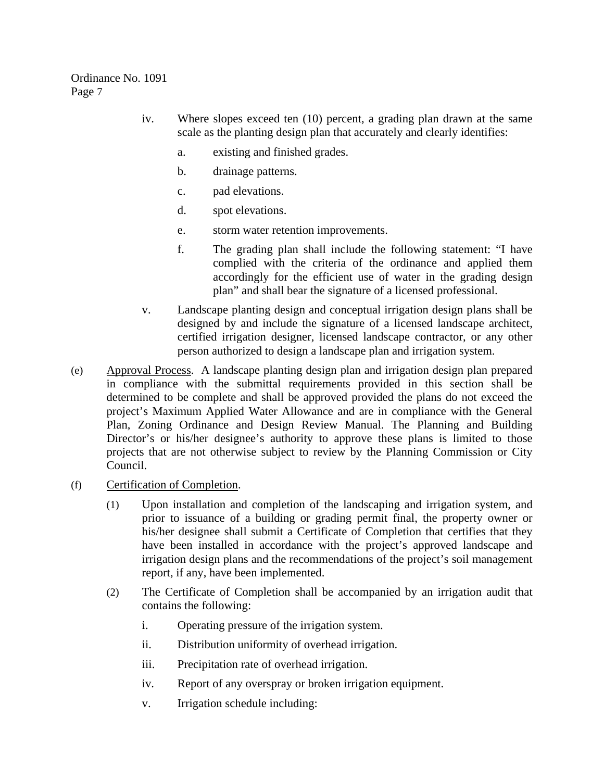- iv. Where slopes exceed ten (10) percent, a grading plan drawn at the same scale as the planting design plan that accurately and clearly identifies:
	- a. existing and finished grades.
	- b. drainage patterns.
	- c. pad elevations.
	- d. spot elevations.
	- e. storm water retention improvements.
	- f. The grading plan shall include the following statement: "I have complied with the criteria of the ordinance and applied them accordingly for the efficient use of water in the grading design plan" and shall bear the signature of a licensed professional.
- v. Landscape planting design and conceptual irrigation design plans shall be designed by and include the signature of a licensed landscape architect, certified irrigation designer, licensed landscape contractor, or any other person authorized to design a landscape plan and irrigation system.
- (e) Approval Process. A landscape planting design plan and irrigation design plan prepared in compliance with the submittal requirements provided in this section shall be determined to be complete and shall be approved provided the plans do not exceed the project's Maximum Applied Water Allowance and are in compliance with the General Plan, Zoning Ordinance and Design Review Manual. The Planning and Building Director's or his/her designee's authority to approve these plans is limited to those projects that are not otherwise subject to review by the Planning Commission or City Council.
- (f) Certification of Completion.
	- (1) Upon installation and completion of the landscaping and irrigation system, and prior to issuance of a building or grading permit final, the property owner or his/her designee shall submit a Certificate of Completion that certifies that they have been installed in accordance with the project's approved landscape and irrigation design plans and the recommendations of the project's soil management report, if any, have been implemented.
	- (2) The Certificate of Completion shall be accompanied by an irrigation audit that contains the following:
		- i. Operating pressure of the irrigation system.
		- ii. Distribution uniformity of overhead irrigation.
		- iii. Precipitation rate of overhead irrigation.
		- iv. Report of any overspray or broken irrigation equipment.
		- v. Irrigation schedule including: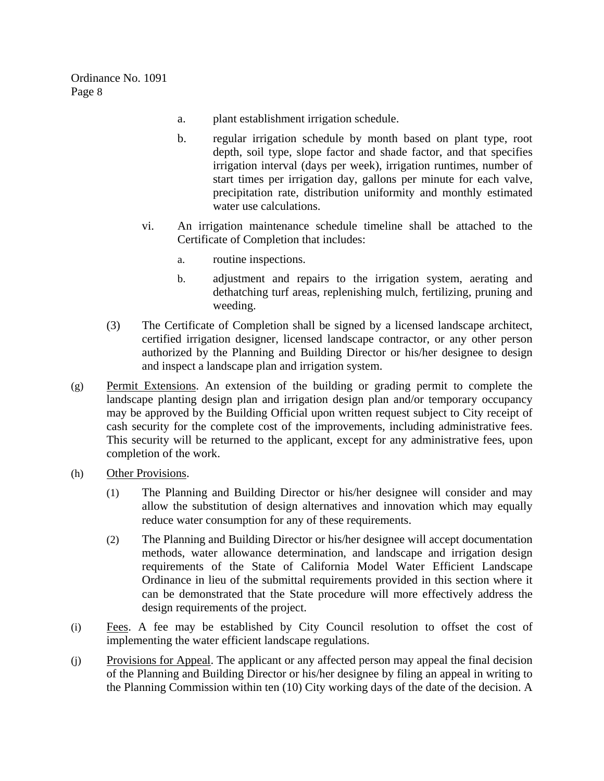- a. plant establishment irrigation schedule.
- b. regular irrigation schedule by month based on plant type, root depth, soil type, slope factor and shade factor, and that specifies irrigation interval (days per week), irrigation runtimes, number of start times per irrigation day, gallons per minute for each valve, precipitation rate, distribution uniformity and monthly estimated water use calculations.
- vi. An irrigation maintenance schedule timeline shall be attached to the Certificate of Completion that includes:
	- a. routine inspections.
	- b. adjustment and repairs to the irrigation system, aerating and dethatching turf areas, replenishing mulch, fertilizing, pruning and weeding.
- (3) The Certificate of Completion shall be signed by a licensed landscape architect, certified irrigation designer, licensed landscape contractor, or any other person authorized by the Planning and Building Director or his/her designee to design and inspect a landscape plan and irrigation system.
- (g) Permit Extensions. An extension of the building or grading permit to complete the landscape planting design plan and irrigation design plan and/or temporary occupancy may be approved by the Building Official upon written request subject to City receipt of cash security for the complete cost of the improvements, including administrative fees. This security will be returned to the applicant, except for any administrative fees, upon completion of the work.
- (h) Other Provisions.
	- (1) The Planning and Building Director or his/her designee will consider and may allow the substitution of design alternatives and innovation which may equally reduce water consumption for any of these requirements.
	- (2) The Planning and Building Director or his/her designee will accept documentation methods, water allowance determination, and landscape and irrigation design requirements of the State of California Model Water Efficient Landscape Ordinance in lieu of the submittal requirements provided in this section where it can be demonstrated that the State procedure will more effectively address the design requirements of the project.
- (i) Fees. A fee may be established by City Council resolution to offset the cost of implementing the water efficient landscape regulations.
- (j) Provisions for Appeal. The applicant or any affected person may appeal the final decision of the Planning and Building Director or his/her designee by filing an appeal in writing to the Planning Commission within ten (10) City working days of the date of the decision. A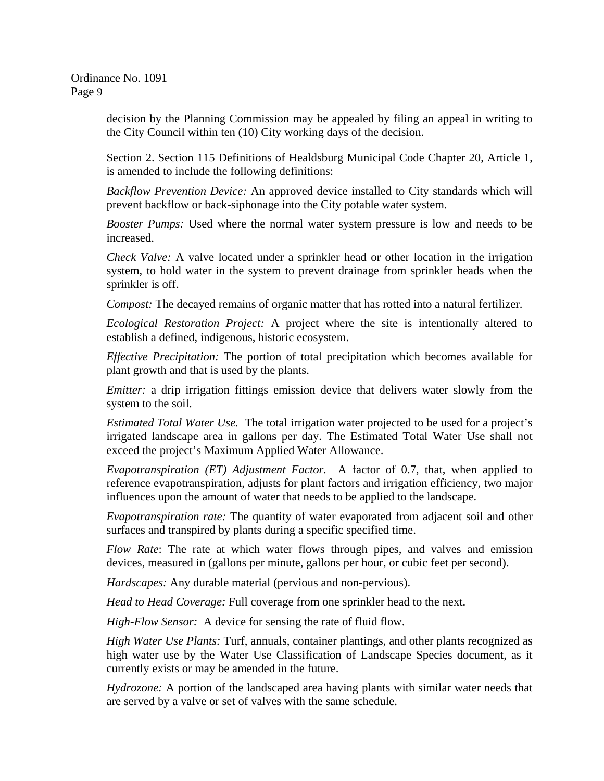> decision by the Planning Commission may be appealed by filing an appeal in writing to the City Council within ten (10) City working days of the decision.

> Section 2. Section 115 Definitions of Healdsburg Municipal Code Chapter 20, Article 1, is amended to include the following definitions:

> *Backflow Prevention Device:* An approved device installed to City standards which will prevent backflow or back-siphonage into the City potable water system.

> *Booster Pumps:* Used where the normal water system pressure is low and needs to be increased.

> *Check Valve:* A valve located under a sprinkler head or other location in the irrigation system, to hold water in the system to prevent drainage from sprinkler heads when the sprinkler is off.

*Compost:* The decayed remains of organic matter that has rotted into a natural fertilizer.

*Ecological Restoration Project:* A project where the site is intentionally altered to establish a defined, indigenous, historic ecosystem.

*Effective Precipitation:* The portion of total precipitation which becomes available for plant growth and that is used by the plants.

*Emitter*: a drip irrigation fittings emission device that delivers water slowly from the system to the soil.

*Estimated Total Water Use.* The total irrigation water projected to be used for a project's irrigated landscape area in gallons per day. The Estimated Total Water Use shall not exceed the project's Maximum Applied Water Allowance.

*Evapotranspiration (ET) Adjustment Factor.* A factor of 0.7, that, when applied to reference evapotranspiration, adjusts for plant factors and irrigation efficiency, two major influences upon the amount of water that needs to be applied to the landscape.

*Evapotranspiration rate:* The quantity of water evaporated from adjacent soil and other surfaces and transpired by plants during a specific specified time.

*Flow Rate*: The rate at which water flows through pipes, and valves and emission devices, measured in (gallons per minute, gallons per hour, or cubic feet per second).

*Hardscapes:* Any durable material (pervious and non-pervious).

*Head to Head Coverage:* Full coverage from one sprinkler head to the next.

*High-Flow Sensor:* A device for sensing the rate of fluid flow.

*High Water Use Plants:* Turf, annuals, container plantings, and other plants recognized as high water use by the Water Use Classification of Landscape Species document, as it currently exists or may be amended in the future.

*Hydrozone:* A portion of the landscaped area having plants with similar water needs that are served by a valve or set of valves with the same schedule.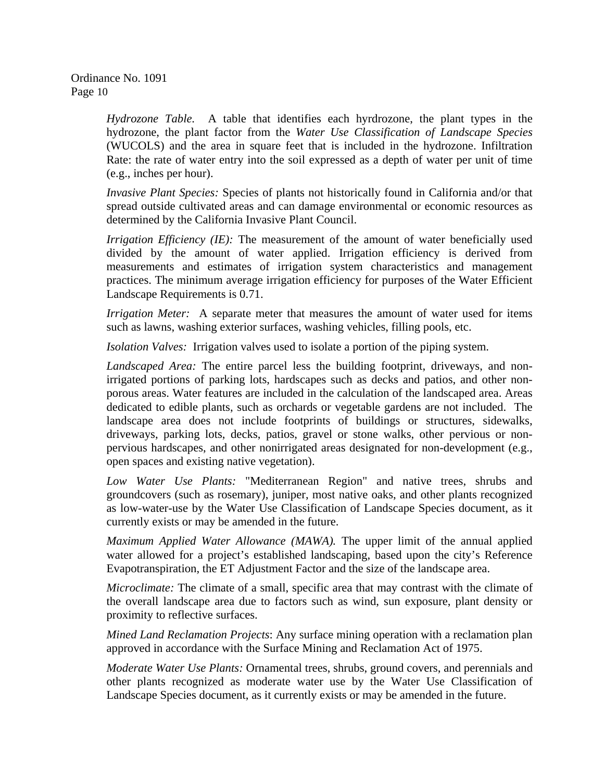> *Hydrozone Table.* A table that identifies each hyrdrozone, the plant types in the hydrozone, the plant factor from the *Water Use Classification of Landscape Species*  (WUCOLS) and the area in square feet that is included in the hydrozone. Infiltration Rate: the rate of water entry into the soil expressed as a depth of water per unit of time (e.g., inches per hour).

> *Invasive Plant Species:* Species of plants not historically found in California and/or that spread outside cultivated areas and can damage environmental or economic resources as determined by the California Invasive Plant Council.

> *Irrigation Efficiency (IE):* The measurement of the amount of water beneficially used divided by the amount of water applied. Irrigation efficiency is derived from measurements and estimates of irrigation system characteristics and management practices. The minimum average irrigation efficiency for purposes of the Water Efficient Landscape Requirements is 0.71.

> *Irrigation Meter:* A separate meter that measures the amount of water used for items such as lawns, washing exterior surfaces, washing vehicles, filling pools, etc.

*Isolation Valves:* Irrigation valves used to isolate a portion of the piping system.

*Landscaped Area:* The entire parcel less the building footprint, driveways, and nonirrigated portions of parking lots, hardscapes such as decks and patios, and other nonporous areas. Water features are included in the calculation of the landscaped area. Areas dedicated to edible plants, such as orchards or vegetable gardens are not included. The landscape area does not include footprints of buildings or structures, sidewalks, driveways, parking lots, decks, patios, gravel or stone walks, other pervious or nonpervious hardscapes, and other nonirrigated areas designated for non-development (e.g., open spaces and existing native vegetation).

*Low Water Use Plants:* "Mediterranean Region" and native trees, shrubs and groundcovers (such as rosemary), juniper, most native oaks, and other plants recognized as low-water-use by the Water Use Classification of Landscape Species document, as it currently exists or may be amended in the future.

*Maximum Applied Water Allowance (MAWA).* The upper limit of the annual applied water allowed for a project's established landscaping, based upon the city's Reference Evapotranspiration, the ET Adjustment Factor and the size of the landscape area.

*Microclimate:* The climate of a small, specific area that may contrast with the climate of the overall landscape area due to factors such as wind, sun exposure, plant density or proximity to reflective surfaces.

*Mined Land Reclamation Projects*: Any surface mining operation with a reclamation plan approved in accordance with the Surface Mining and Reclamation Act of 1975.

*Moderate Water Use Plants:* Ornamental trees, shrubs, ground covers, and perennials and other plants recognized as moderate water use by the Water Use Classification of Landscape Species document, as it currently exists or may be amended in the future.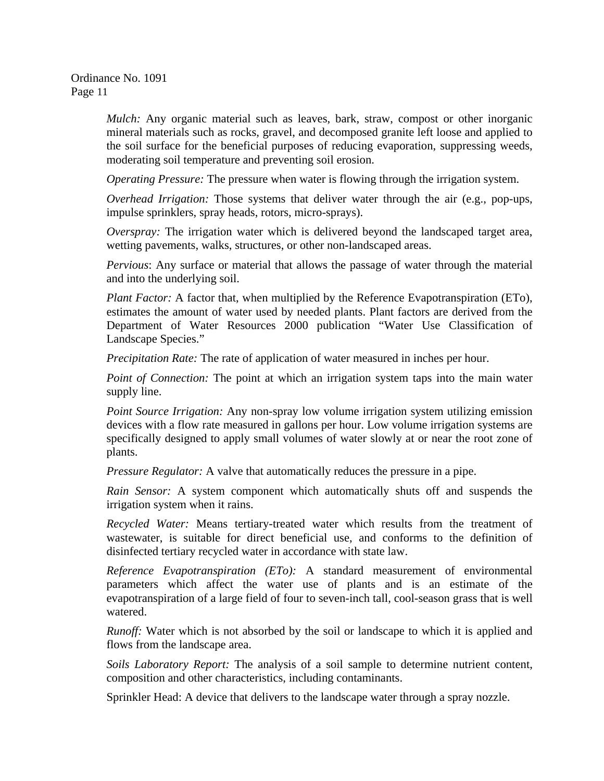> *Mulch:* Any organic material such as leaves, bark, straw, compost or other inorganic mineral materials such as rocks, gravel, and decomposed granite left loose and applied to the soil surface for the beneficial purposes of reducing evaporation, suppressing weeds, moderating soil temperature and preventing soil erosion.

*Operating Pressure:* The pressure when water is flowing through the irrigation system.

*Overhead Irrigation:* Those systems that deliver water through the air (e.g., pop-ups, impulse sprinklers, spray heads, rotors, micro-sprays).

*Overspray:* The irrigation water which is delivered beyond the landscaped target area, wetting pavements, walks, structures, or other non-landscaped areas.

*Pervious*: Any surface or material that allows the passage of water through the material and into the underlying soil.

*Plant Factor:* A factor that, when multiplied by the Reference Evapotranspiration (ETo), estimates the amount of water used by needed plants. Plant factors are derived from the Department of Water Resources 2000 publication "Water Use Classification of Landscape Species."

*Precipitation Rate:* The rate of application of water measured in inches per hour.

*Point of Connection:* The point at which an irrigation system taps into the main water supply line.

*Point Source Irrigation:* Any non-spray low volume irrigation system utilizing emission devices with a flow rate measured in gallons per hour. Low volume irrigation systems are specifically designed to apply small volumes of water slowly at or near the root zone of plants.

*Pressure Regulator:* A valve that automatically reduces the pressure in a pipe.

*Rain Sensor:* A system component which automatically shuts off and suspends the irrigation system when it rains.

*Recycled Water:* Means tertiary-treated water which results from the treatment of wastewater, is suitable for direct beneficial use, and conforms to the definition of disinfected tertiary recycled water in accordance with state law.

*Reference Evapotranspiration (ETo):* A standard measurement of environmental parameters which affect the water use of plants and is an estimate of the evapotranspiration of a large field of four to seven-inch tall, cool-season grass that is well watered.

*Runoff:* Water which is not absorbed by the soil or landscape to which it is applied and flows from the landscape area.

*Soils Laboratory Report:* The analysis of a soil sample to determine nutrient content, composition and other characteristics, including contaminants.

Sprinkler Head: A device that delivers to the landscape water through a spray nozzle.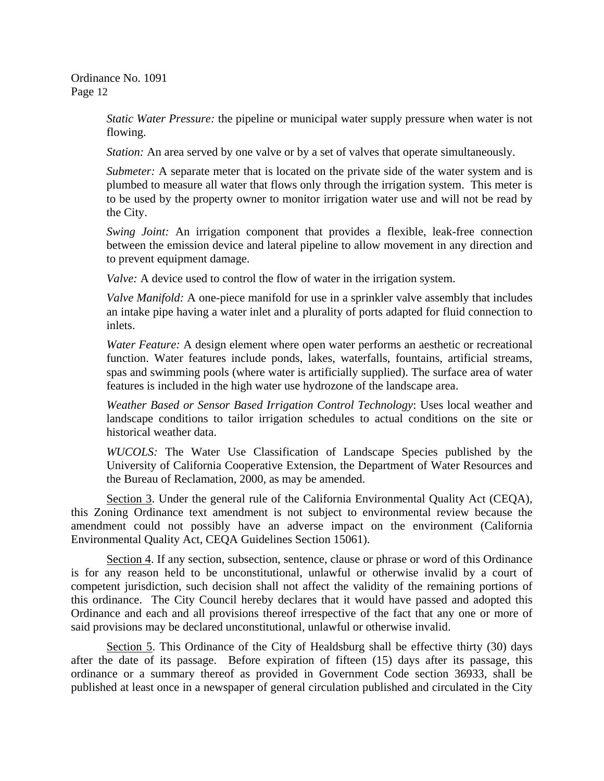> *Static Water Pressure:* the pipeline or municipal water supply pressure when water is not flowing.

*Station:* An area served by one valve or by a set of valves that operate simultaneously.

*Submeter:* A separate meter that is located on the private side of the water system and is plumbed to measure all water that flows only through the irrigation system. This meter is to be used by the property owner to monitor irrigation water use and will not be read by the City.

*Swing Joint:* An irrigation component that provides a flexible, leak-free connection between the emission device and lateral pipeline to allow movement in any direction and to prevent equipment damage.

*Valve:* A device used to control the flow of water in the irrigation system.

*Valve Manifold:* A one-piece manifold for use in a sprinkler valve assembly that includes an intake pipe having a water inlet and a plurality of ports adapted for fluid connection to inlets.

*Water Feature:* A design element where open water performs an aesthetic or recreational function. Water features include ponds, lakes, waterfalls, fountains, artificial streams, spas and swimming pools (where water is artificially supplied). The surface area of water features is included in the high water use hydrozone of the landscape area.

*Weather Based or Sensor Based Irrigation Control Technology*: Uses local weather and landscape conditions to tailor irrigation schedules to actual conditions on the site or historical weather data.

*WUCOLS:* The Water Use Classification of Landscape Species published by the University of California Cooperative Extension, the Department of Water Resources and the Bureau of Reclamation, 2000, as may be amended.

Section 3. Under the general rule of the California Environmental Quality Act (CEQA), this Zoning Ordinance text amendment is not subject to environmental review because the amendment could not possibly have an adverse impact on the environment (California Environmental Quality Act, CEQA Guidelines Section 15061).

Section 4. If any section, subsection, sentence, clause or phrase or word of this Ordinance is for any reason held to be unconstitutional, unlawful or otherwise invalid by a court of competent jurisdiction, such decision shall not affect the validity of the remaining portions of this ordinance. The City Council hereby declares that it would have passed and adopted this Ordinance and each and all provisions thereof irrespective of the fact that any one or more of said provisions may be declared unconstitutional, unlawful or otherwise invalid.

Section 5. This Ordinance of the City of Healdsburg shall be effective thirty (30) days after the date of its passage. Before expiration of fifteen (15) days after its passage, this ordinance or a summary thereof as provided in Government Code section 36933, shall be published at least once in a newspaper of general circulation published and circulated in the City